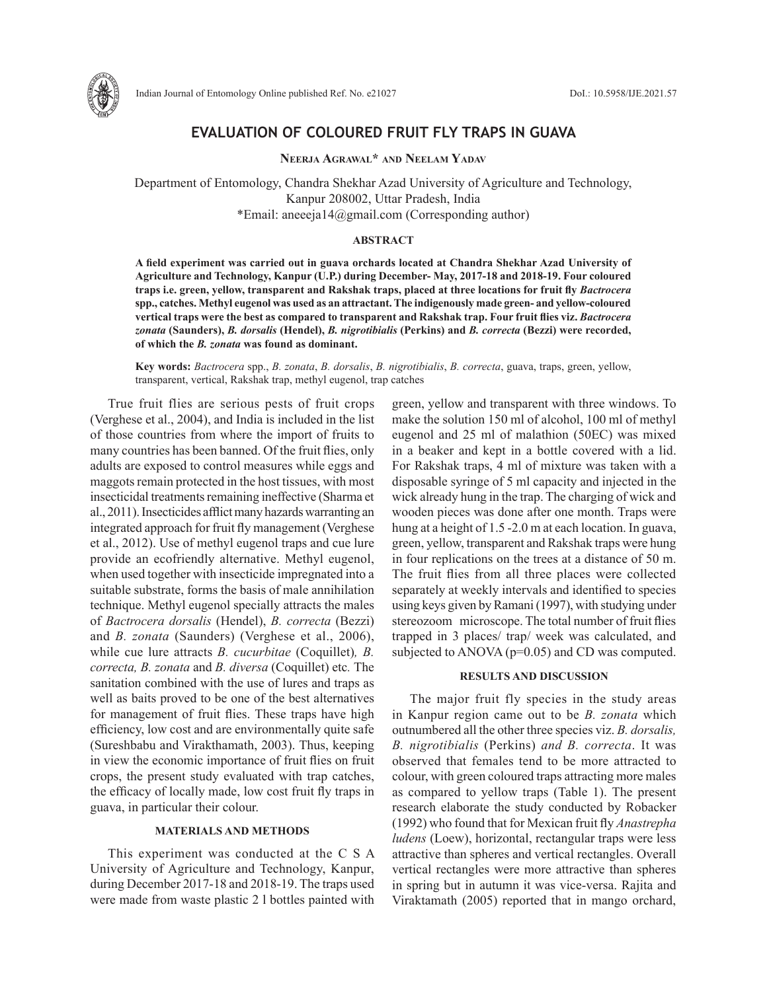

# **EVALUATION OF COLOURED FRUIT FLY TRAPS IN GUAVA**

**Neerja Agrawal\* and Neelam Yadav**

Department of Entomology, Chandra Shekhar Azad University of Agriculture and Technology, Kanpur 208002, Uttar Pradesh, India \*Email: aneeeja14@gmail.com (Corresponding author)

### **ABSTRACT**

**A field experiment was carried out in guava orchards located at Chandra Shekhar Azad University of Agriculture and Technology, Kanpur (U.P.) during December- May, 2017-18 and 2018-19. Four coloured traps i.e. green, yellow, transparent and Rakshak traps, placed at three locations for fruit fly** *Bactrocera* **spp., catches. Methyl eugenol was used as an attractant. The indigenously made green- and yellow-coloured vertical traps were the best as compared to transparent and Rakshak trap. Four fruit flies viz.** *Bactrocera zonata* **(Saunders),** *B. dorsalis* **(Hendel),** *B. nigrotibialis* **(Perkins) and** *B. correcta* **(Bezzi) were recorded, of which the** *B. zonata* **was found as dominant.**

**Key words:** *Bactrocera* spp., *B. zonata*, *B. dorsalis*, *B. nigrotibialis*, *B. correcta*, guava, traps, green, yellow, transparent, vertical, Rakshak trap, methyl eugenol, trap catches

True fruit flies are serious pests of fruit crops (Verghese et al., 2004), and India is included in the list of those countries from where the import of fruits to many countries has been banned. Of the fruit flies, only adults are exposed to control measures while eggs and maggots remain protected in the host tissues, with most insecticidal treatments remaining ineffective (Sharma et al., 2011). Insecticides afflict many hazards warranting an integrated approach for fruit fly management (Verghese et al., 2012). Use of methyl eugenol traps and cue lure provide an ecofriendly alternative. Methyl eugenol, when used together with insecticide impregnated into a suitable substrate, forms the basis of male annihilation technique. Methyl eugenol specially attracts the males of *Bactrocera dorsalis* (Hendel), *B. correcta* (Bezzi) and *B. zonata* (Saunders) (Verghese et al., 2006), while cue lure attracts *B. cucurbitae* (Coquillet)*, B. correcta, B. zonata* and *B. diversa* (Coquillet) etc*.* The sanitation combined with the use of lures and traps as well as baits proved to be one of the best alternatives for management of fruit flies. These traps have high efficiency, low cost and are environmentally quite safe (Sureshbabu and Virakthamath, 2003). Thus, keeping in view the economic importance of fruit flies on fruit crops, the present study evaluated with trap catches, the efficacy of locally made, low cost fruit fly traps in guava, in particular their colour.

# **MATERIALS AND METHODS**

This experiment was conducted at the C S A University of Agriculture and Technology, Kanpur, during December 2017-18 and 2018-19. The traps used were made from waste plastic 2 l bottles painted with

green, yellow and transparent with three windows. To make the solution 150 ml of alcohol, 100 ml of methyl eugenol and 25 ml of malathion (50EC) was mixed in a beaker and kept in a bottle covered with a lid. For Rakshak traps, 4 ml of mixture was taken with a disposable syringe of 5 ml capacity and injected in the wick already hung in the trap. The charging of wick and wooden pieces was done after one month. Traps were hung at a height of 1.5 -2.0 m at each location. In guava, green, yellow, transparent and Rakshak traps were hung in four replications on the trees at a distance of 50 m. The fruit flies from all three places were collected separately at weekly intervals and identified to species using keys given by Ramani (1997), with studying under stereozoom microscope. The total number of fruit flies trapped in 3 places/ trap/ week was calculated, and subjected to ANOVA (p=0.05) and CD was computed.

#### **RESULTS AND DISCUSSION**

The major fruit fly species in the study areas in Kanpur region came out to be *B. zonata* which outnumbered all the other three species viz. *B. dorsalis, B. nigrotibialis* (Perkins) *and B. correcta*. It was observed that females tend to be more attracted to colour, with green coloured traps attracting more males as compared to yellow traps (Table 1). The present research elaborate the study conducted by Robacker (1992) who found that for Mexican fruit fly *Anastrepha ludens* (Loew), horizontal, rectangular traps were less attractive than spheres and vertical rectangles. Overall vertical rectangles were more attractive than spheres in spring but in autumn it was vice-versa. Rajita and Viraktamath (2005) reported that in mango orchard,